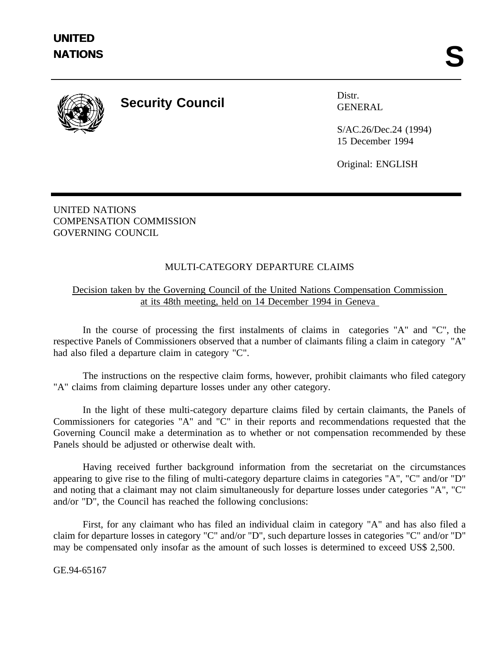

## **Security Council** Distr.

GENERAL

S/AC.26/Dec.24 (1994) 15 December 1994

Original: ENGLISH

UNITED NATIONS COMPENSATION COMMISSION GOVERNING COUNCIL

## MULTI-CATEGORY DEPARTURE CLAIMS

## Decision taken by the Governing Council of the United Nations Compensation Commission at its 48th meeting, held on 14 December 1994 in Geneva

In the course of processing the first instalments of claims in categories "A" and "C", the respective Panels of Commissioners observed that a number of claimants filing a claim in category "A" had also filed a departure claim in category "C".

The instructions on the respective claim forms, however, prohibit claimants who filed category "A" claims from claiming departure losses under any other category.

In the light of these multi-category departure claims filed by certain claimants, the Panels of Commissioners for categories "A" and "C" in their reports and recommendations requested that the Governing Council make a determination as to whether or not compensation recommended by these Panels should be adjusted or otherwise dealt with.

Having received further background information from the secretariat on the circumstances appearing to give rise to the filing of multi-category departure claims in categories "A", "C" and/or "D" and noting that a claimant may not claim simultaneously for departure losses under categories "A", "C" and/or "D", the Council has reached the following conclusions:

First, for any claimant who has filed an individual claim in category "A" and has also filed a claim for departure losses in category "C" and/or "D", such departure losses in categories "C" and/or "D" may be compensated only insofar as the amount of such losses is determined to exceed US\$ 2,500.

GE.94-65167